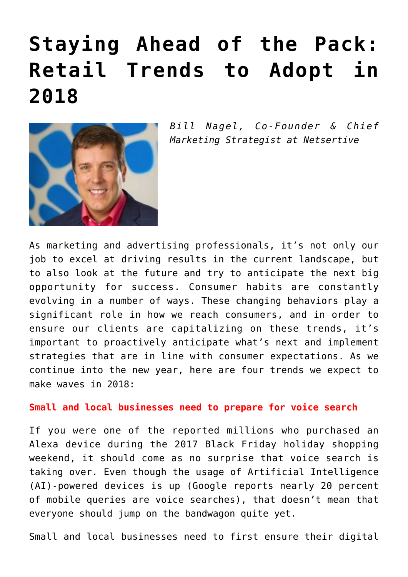# **[Staying Ahead of the Pack:](https://www.commpro.biz/staying-ahead-of-the-pack-retail-trends-to-adopt-in-2018/) [Retail Trends to Adopt in](https://www.commpro.biz/staying-ahead-of-the-pack-retail-trends-to-adopt-in-2018/) [2018](https://www.commpro.biz/staying-ahead-of-the-pack-retail-trends-to-adopt-in-2018/)**



*Bill Nagel, Co-Founder & Chief Marketing Strategist at [Netsertive](https://www.netsertive.com/)*

As marketing and advertising professionals, it's not only our job to excel at driving results in the current landscape, but to also look at the future and try to anticipate the next big opportunity for success. Consumer habits are constantly evolving in a number of ways. These changing behaviors play a significant role in how we reach consumers, and in order to ensure our clients are capitalizing on these trends, it's important to proactively anticipate what's next and implement strategies that are in line with consumer expectations. As we continue into the new year, here are four trends we expect to make waves in 2018:

### **Small and local businesses need to prepare for voice search**

If you were one of the reported millions who purchased an Alexa device during the 2017 Black Friday holiday shopping weekend, it should come as no surprise that voice search is taking over. Even though the usage of Artificial Intelligence (AI)-powered devices is up ([Google reports](https://searchengineland.com/google-reveals-20-percent-queries-voice-queries-249917) nearly 20 percent of mobile queries are voice searches), that doesn't mean that everyone should jump on the bandwagon quite yet.

Small and local businesses need to first ensure their digital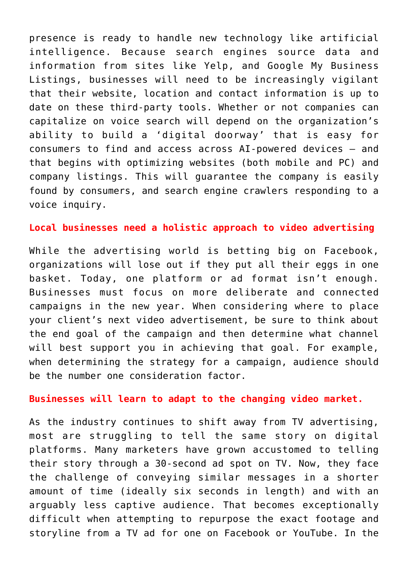presence is ready to handle new technology like artificial intelligence. Because search engines source data and information from sites like Yelp, and Google My Business Listings, businesses will need to be increasingly vigilant that their website, location and contact information is up to date on these third-party tools. Whether or not companies can capitalize on voice search will depend on the organization's ability to build a 'digital doorway' that is easy for consumers to find and access across AI-powered devices – and that begins with optimizing websites (both mobile and PC) and company listings. This will guarantee the company is easily found by consumers, and search engine crawlers responding to a voice inquiry.

#### **Local businesses need a holistic approach to video advertising**

While the advertising world is [betting big on Facebook,](https://www.forbes.com/sites/greatspeculations/2017/11/02/ad-revenue-growth-continues-to-propel-facebook/#516d0ce565ed) organizations will lose out if they put all their eggs in one basket. Today, one platform or ad format isn't enough. Businesses must focus on more deliberate and connected campaigns in the new year. When considering where to place your client's next video advertisement, be sure to think about the end goal of the campaign and then determine what channel will best support you in achieving that goal. For example, when determining the strategy for a campaign, audience should be the number one consideration factor.

#### **Businesses will learn to adapt to the changing video market.**

As the industry continues to shift away from TV advertising, most are struggling to tell the same story on digital platforms. Many marketers have grown accustomed to telling their story through a 30-second ad spot on TV. Now, they face the challenge of conveying similar messages in a shorter amount of time (ideally six seconds in length) and with an arguably less captive audience. That becomes exceptionally difficult when attempting to repurpose the exact footage and storyline from a TV ad for one on Facebook or YouTube. In the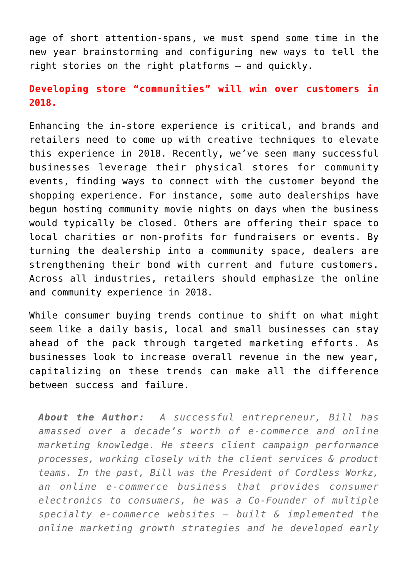age of short attention-spans, we must spend some time in the new year brainstorming and configuring new ways to tell the right stories on the right platforms – and quickly.

## **Developing store "communities" will win over customers in 2018.**

Enhancing the in-store experience is critical, and brands and retailers need to come up with creative techniques to elevate this experience in 2018. Recently, we've seen many successful businesses leverage their physical stores for community events, finding ways to connect with the customer beyond the shopping experience. For instance, some auto dealerships have begun hosting community movie nights on days when the business would typically be closed. Others are offering their space to local charities or non-profits for fundraisers or events. By turning the dealership into a community space, dealers are strengthening their bond with current and future customers. Across all industries, retailers should emphasize the online and community experience in 2018.

While consumer buying trends continue to shift on what might seem like a daily basis, local and small businesses can stay ahead of the pack through targeted marketing efforts. As businesses look to increase overall revenue in the new year, capitalizing on these trends can make all the difference between success and failure.

*About the Author: A successful entrepreneur, Bill has amassed over a decade's worth of e-commerce and online marketing knowledge. He steers client campaign performance processes, working closely with the client services & product teams. In the past, Bill was the President of Cordless Workz, an online e-commerce business that provides consumer electronics to consumers, he was a Co-Founder of multiple specialty e-commerce websites – built & implemented the online marketing growth strategies and he developed early*